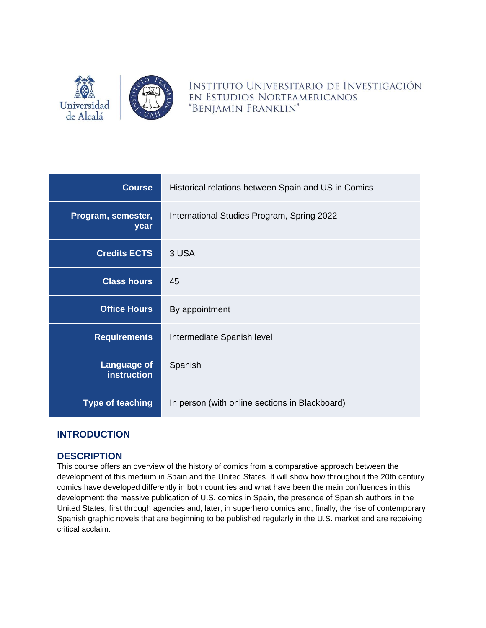

INSTITUTO UNIVERSITARIO DE INVESTIGACIÓN EN ESTUDIOS NORTEAMERICANOS "BENJAMIN FRANKLIN"

| <b>Course</b>                            | Historical relations between Spain and US in Comics |  |
|------------------------------------------|-----------------------------------------------------|--|
| Program, semester,<br>year               | International Studies Program, Spring 2022          |  |
| <b>Credits ECTS</b>                      | 3 USA                                               |  |
| <b>Class hours</b>                       | 45                                                  |  |
| <b>Office Hours</b>                      | By appointment                                      |  |
| <b>Requirements</b>                      | Intermediate Spanish level                          |  |
| <b>Language of</b><br><b>instruction</b> | Spanish                                             |  |
| <b>Type of teaching</b>                  | In person (with online sections in Blackboard)      |  |

# **INTRODUCTION**

## **DESCRIPTION**

This course offers an overview of the history of comics from a comparative approach between the development of this medium in Spain and the United States. It will show how throughout the 20th century comics have developed differently in both countries and what have been the main confluences in this development: the massive publication of U.S. comics in Spain, the presence of Spanish authors in the United States, first through agencies and, later, in superhero comics and, finally, the rise of contemporary Spanish graphic novels that are beginning to be published regularly in the U.S. market and are receiving critical acclaim.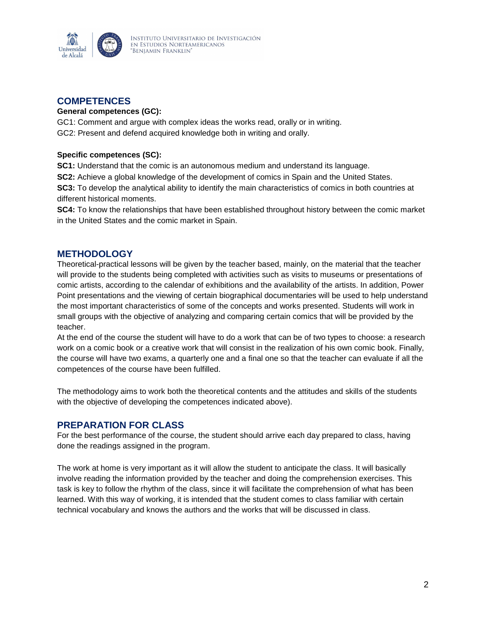

# **COMPETENCES**

#### **General competences (GC):**

GC1: Comment and argue with complex ideas the works read, orally or in writing. GC2: Present and defend acquired knowledge both in writing and orally.

#### **Specific competences (SC):**

**SC1:** Understand that the comic is an autonomous medium and understand its language.

**SC2:** Achieve a global knowledge of the development of comics in Spain and the United States.

**SC3:** To develop the analytical ability to identify the main characteristics of comics in both countries at different historical moments.

**SC4:** To know the relationships that have been established throughout history between the comic market in the United States and the comic market in Spain.

## **METHODOLOGY**

Theoretical-practical lessons will be given by the teacher based, mainly, on the material that the teacher will provide to the students being completed with activities such as visits to museums or presentations of comic artists, according to the calendar of exhibitions and the availability of the artists. In addition, Power Point presentations and the viewing of certain biographical documentaries will be used to help understand the most important characteristics of some of the concepts and works presented. Students will work in small groups with the objective of analyzing and comparing certain comics that will be provided by the teacher.

At the end of the course the student will have to do a work that can be of two types to choose: a research work on a comic book or a creative work that will consist in the realization of his own comic book. Finally, the course will have two exams, a quarterly one and a final one so that the teacher can evaluate if all the competences of the course have been fulfilled.

The methodology aims to work both the theoretical contents and the attitudes and skills of the students with the objective of developing the competences indicated above).

## **PREPARATION FOR CLASS**

For the best performance of the course, the student should arrive each day prepared to class, having done the readings assigned in the program.

The work at home is very important as it will allow the student to anticipate the class. It will basically involve reading the information provided by the teacher and doing the comprehension exercises. This task is key to follow the rhythm of the class, since it will facilitate the comprehension of what has been learned. With this way of working, it is intended that the student comes to class familiar with certain technical vocabulary and knows the authors and the works that will be discussed in class.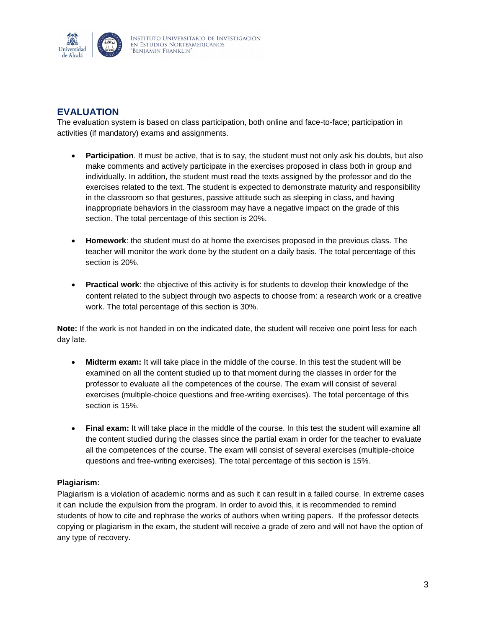

# **EVALUATION**

The evaluation system is based on class participation, both online and face-to-face; participation in activities (if mandatory) exams and assignments.

- **Participation**. It must be active, that is to say, the student must not only ask his doubts, but also make comments and actively participate in the exercises proposed in class both in group and individually. In addition, the student must read the texts assigned by the professor and do the exercises related to the text. The student is expected to demonstrate maturity and responsibility in the classroom so that gestures, passive attitude such as sleeping in class, and having inappropriate behaviors in the classroom may have a negative impact on the grade of this section. The total percentage of this section is 20%.
- **Homework**: the student must do at home the exercises proposed in the previous class. The teacher will monitor the work done by the student on a daily basis. The total percentage of this section is 20%.
- **Practical work**: the objective of this activity is for students to develop their knowledge of the content related to the subject through two aspects to choose from: a research work or a creative work. The total percentage of this section is 30%.

**Note:** If the work is not handed in on the indicated date, the student will receive one point less for each day late.

- **Midterm exam:** It will take place in the middle of the course. In this test the student will be examined on all the content studied up to that moment during the classes in order for the professor to evaluate all the competences of the course. The exam will consist of several exercises (multiple-choice questions and free-writing exercises). The total percentage of this section is 15%.
- **Final exam:** It will take place in the middle of the course. In this test the student will examine all the content studied during the classes since the partial exam in order for the teacher to evaluate all the competences of the course. The exam will consist of several exercises (multiple-choice questions and free-writing exercises). The total percentage of this section is 15%.

#### **Plagiarism:**

Plagiarism is a violation of academic norms and as such it can result in a failed course. In extreme cases it can include the expulsion from the program. In order to avoid this, it is recommended to remind students of how to cite and rephrase the works of authors when writing papers. If the professor detects copying or plagiarism in the exam, the student will receive a grade of zero and will not have the option of any type of recovery.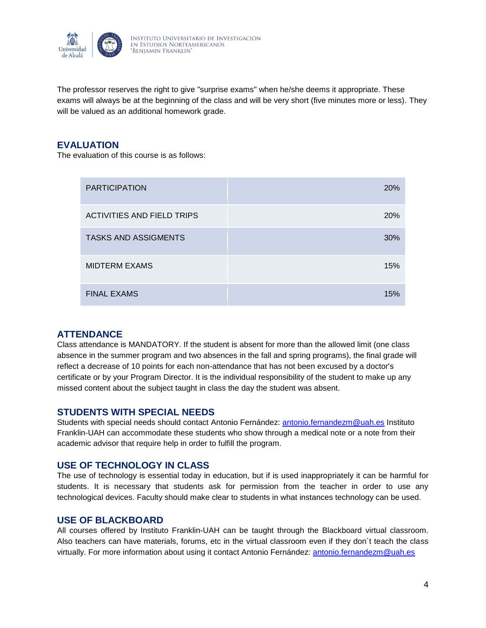

The professor reserves the right to give "surprise exams" when he/she deems it appropriate. These exams will always be at the beginning of the class and will be very short (five minutes more or less). They will be valued as an additional homework grade.

## **EVALUATION**

The evaluation of this course is as follows:

| <b>PARTICIPATION</b>              | <b>20%</b> |
|-----------------------------------|------------|
| <b>ACTIVITIES AND FIELD TRIPS</b> | 20%        |
| <b>TASKS AND ASSIGMENTS</b>       | 30%        |
| <b>MIDTERM EXAMS</b>              | 15%        |
| <b>FINAL EXAMS</b>                | 15%        |

# **ATTENDANCE**

Class attendance is MANDATORY. If the student is absent for more than the allowed limit (one class absence in the summer program and two absences in the fall and spring programs), the final grade will reflect a decrease of 10 points for each non-attendance that has not been excused by a doctor's certificate or by your Program Director. It is the individual responsibility of the student to make up any missed content about the subject taught in class the day the student was absent.

## **STUDENTS WITH SPECIAL NEEDS**

Students with special needs should contact Antonio Fernández: [antonio.fernandezm@uah.es](mailto:antonio.fernandezm@uah.es) Instituto Franklin-UAH can accommodate these students who show through a medical note or a note from their academic advisor that require help in order to fulfill the program.

## **USE OF TECHNOLOGY IN CLASS**

The use of technology is essential today in education, but if is used inappropriately it can be harmful for students. It is necessary that students ask for permission from the teacher in order to use any technological devices. Faculty should make clear to students in what instances technology can be used.

## **USE OF BLACKBOARD**

All courses offered by Instituto Franklin-UAH can be taught through the Blackboard virtual classroom. Also teachers can have materials, forums, etc in the virtual classroom even if they don´t teach the class virtually. For more information about using it contact Antonio Fernández: [antonio.fernandezm@uah.es](mailto:antonio.fernandezm@uah.es)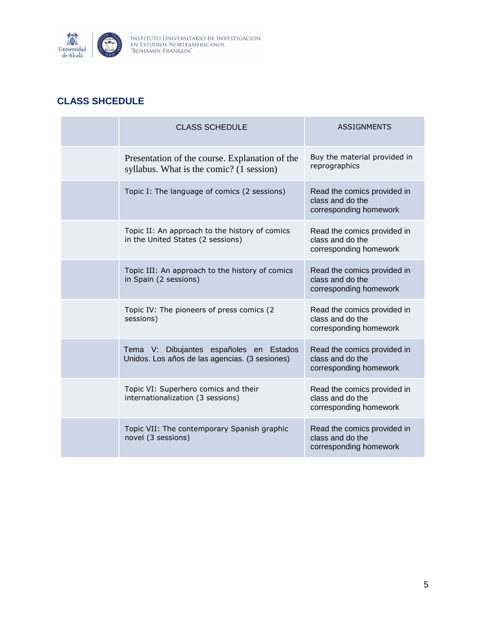

# **CLASS SHCEDULE**

| <b>CLASS SCHEDULE</b>                                                                      | <b>ASSIGNMENTS</b>                                                        |
|--------------------------------------------------------------------------------------------|---------------------------------------------------------------------------|
| Presentation of the course. Explanation of the<br>syllabus. What is the comic? (1 session) | Buy the material provided in<br>reprographics                             |
| Topic I: The language of comics (2 sessions)                                               | Read the comics provided in<br>class and do the<br>corresponding homework |
| Topic II: An approach to the history of comics<br>in the United States (2 sessions)        | Read the comics provided in<br>class and do the<br>corresponding homework |
| Topic III: An approach to the history of comics<br>in Spain (2 sessions)                   | Read the comics provided in<br>class and do the<br>corresponding homework |
| Topic IV: The pioneers of press comics (2)<br>sessions)                                    | Read the comics provided in<br>class and do the<br>corresponding homework |
| Tema V: Dibujantes españoles en Estados<br>Unidos. Los años de las agencias. (3 sesiones)  | Read the comics provided in<br>class and do the<br>corresponding homework |
| Topic VI: Superhero comics and their<br>internationalization (3 sessions)                  | Read the comics provided in<br>class and do the<br>corresponding homework |
| Topic VII: The contemporary Spanish graphic<br>novel (3 sessions)                          | Read the comics provided in<br>class and do the<br>corresponding homework |